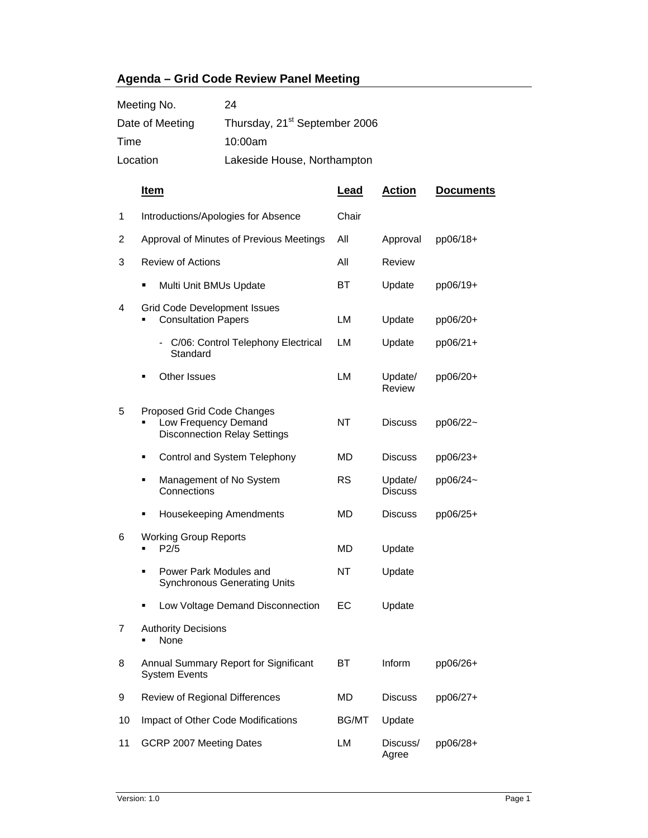## **Agenda – Grid Code Review Panel Meeting**

| Meeting No.     | 24                                        |
|-----------------|-------------------------------------------|
| Date of Meeting | Thursday, 21 <sup>st</sup> September 2006 |
| Time            | 10:00am                                   |
| Location        | Lakeside House, Northampton               |

|    | <u>Item</u>                                                                               | <b>Lead</b>  | <b>Action</b>             | <b>Documents</b> |
|----|-------------------------------------------------------------------------------------------|--------------|---------------------------|------------------|
| 1  | Introductions/Apologies for Absence                                                       | Chair        |                           |                  |
| 2  | Approval of Minutes of Previous Meetings                                                  | All          | Approval                  | pp06/18+         |
| 3  | <b>Review of Actions</b>                                                                  | All          | <b>Review</b>             |                  |
|    | Multi Unit BMUs Update                                                                    | ВT           | Update                    | pp06/19+         |
| 4  | <b>Grid Code Development Issues</b><br><b>Consultation Papers</b>                         | LM           | Update                    | pp06/20+         |
|    | C/06: Control Telephony Electrical<br>Standard                                            | LM           | Update                    | pp06/21+         |
|    | Other Issues                                                                              | LM           | Update/<br>Review         | pp06/20+         |
| 5  | Proposed Grid Code Changes<br>Low Frequency Demand<br><b>Disconnection Relay Settings</b> | NT           | <b>Discuss</b>            | pp06/22~         |
|    | Control and System Telephony<br>٠                                                         | MD           | <b>Discuss</b>            | pp06/23+         |
|    | Management of No System<br>٠<br>Connections                                               | <b>RS</b>    | Update/<br><b>Discuss</b> | pp06/24~         |
|    | <b>Housekeeping Amendments</b>                                                            | MD           | <b>Discuss</b>            | pp06/25+         |
| 6  | <b>Working Group Reports</b><br>P2/5                                                      | <b>MD</b>    | Update                    |                  |
|    | Power Park Modules and<br>٠<br><b>Synchronous Generating Units</b>                        | NT           | Update                    |                  |
|    | Low Voltage Demand Disconnection<br>٠                                                     | ЕC           | Update                    |                  |
| 7  | <b>Authority Decisions</b><br>None                                                        |              |                           |                  |
| 8  | Annual Summary Report for Significant<br><b>System Events</b>                             | ВT           | Inform                    | pp06/26+         |
| 9  | Review of Regional Differences                                                            | MD           | <b>Discuss</b>            | pp06/27+         |
| 10 | Impact of Other Code Modifications                                                        | <b>BG/MT</b> | Update                    |                  |
| 11 | GCRP 2007 Meeting Dates                                                                   | LM           | Discuss/<br>Agree         | pp06/28+         |